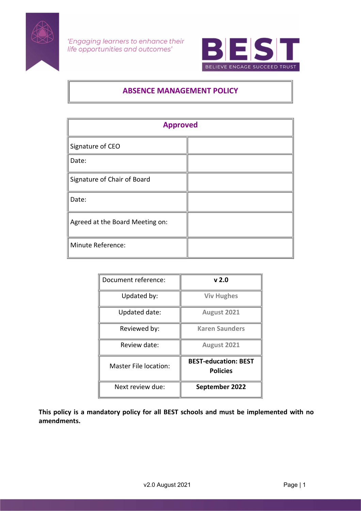



# ABSENCE MANAGEMENT POLICY

| <b>Approved</b>                 |  |  |
|---------------------------------|--|--|
| Signature of CEO                |  |  |
| Date:                           |  |  |
| Signature of Chair of Board     |  |  |
| Date:                           |  |  |
| Agreed at the Board Meeting on: |  |  |
| Minute Reference:               |  |  |

| Document reference:   | v 2.0                                          |
|-----------------------|------------------------------------------------|
| Updated by:           | <b>Viv Hughes</b>                              |
| Updated date:         | August 2021                                    |
| Reviewed by:          | <b>Karen Saunders</b>                          |
| Review date:          | August 2021                                    |
| Master File location: | <b>BEST-education: BEST</b><br><b>Policies</b> |
| Next review due:      | September 2022                                 |

This policy is a mandatory policy for all BEST schools and must be implemented with no amendments.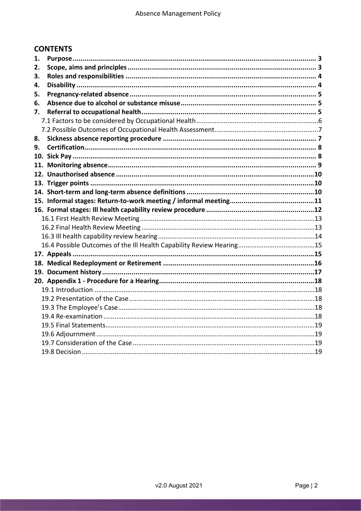# **CONTENTS**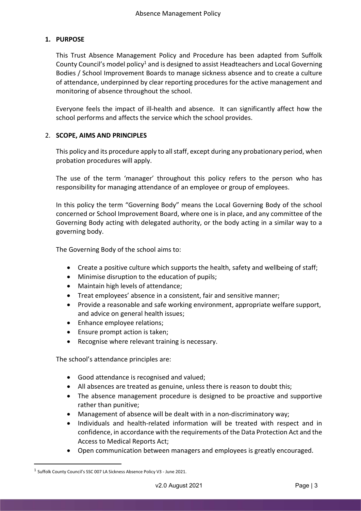# 1. PURPOSE

This Trust Absence Management Policy and Procedure has been adapted from Suffolk County Council's model policy<sup>1</sup> and is designed to assist Headteachers and Local Governing Bodies / School Improvement Boards to manage sickness absence and to create a culture of attendance, underpinned by clear reporting procedures for the active management and monitoring of absence throughout the school.

Everyone feels the impact of ill-health and absence. It can significantly affect how the school performs and affects the service which the school provides.

## 2. SCOPE, AIMS AND PRINCIPLES

This policy and its procedure apply to all staff, except during any probationary period, when probation procedures will apply.

The use of the term 'manager' throughout this policy refers to the person who has responsibility for managing attendance of an employee or group of employees.

In this policy the term "Governing Body" means the Local Governing Body of the school concerned or School Improvement Board, where one is in place, and any committee of the Governing Body acting with delegated authority, or the body acting in a similar way to a governing body.

The Governing Body of the school aims to:

- Create a positive culture which supports the health, safety and wellbeing of staff;
- Minimise disruption to the education of pupils;
- Maintain high levels of attendance;
- Treat employees' absence in a consistent, fair and sensitive manner;
- Provide a reasonable and safe working environment, appropriate welfare support, and advice on general health issues;
- Enhance employee relations;
- Ensure prompt action is taken;
- Recognise where relevant training is necessary.

The school's attendance principles are:

- Good attendance is recognised and valued;
- All absences are treated as genuine, unless there is reason to doubt this;
- The absence management procedure is designed to be proactive and supportive rather than punitive;
- Management of absence will be dealt with in a non-discriminatory way;
- Individuals and health-related information will be treated with respect and in confidence, in accordance with the requirements of the Data Protection Act and the Access to Medical Reports Act;
- Open communication between managers and employees is greatly encouraged.

<sup>1</sup> Suffolk County Council's SSC 007 LA Sickness Absence Policy V3 - June 2021.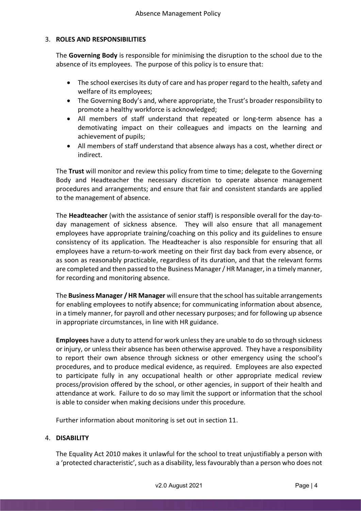# 3. ROLES AND RESPONSIBILITIES

The Governing Body is responsible for minimising the disruption to the school due to the absence of its employees. The purpose of this policy is to ensure that:

- The school exercises its duty of care and has proper regard to the health, safety and welfare of its employees;
- The Governing Body's and, where appropriate, the Trust's broader responsibility to promote a healthy workforce is acknowledged;
- All members of staff understand that repeated or long-term absence has a demotivating impact on their colleagues and impacts on the learning and achievement of pupils;
- All members of staff understand that absence always has a cost, whether direct or indirect.

The Trust will monitor and review this policy from time to time; delegate to the Governing Body and Headteacher the necessary discretion to operate absence management procedures and arrangements; and ensure that fair and consistent standards are applied to the management of absence.

The Headteacher (with the assistance of senior staff) is responsible overall for the day-today management of sickness absence. They will also ensure that all management employees have appropriate training/coaching on this policy and its guidelines to ensure consistency of its application. The Headteacher is also responsible for ensuring that all employees have a return-to-work meeting on their first day back from every absence, or as soon as reasonably practicable, regardless of its duration, and that the relevant forms are completed and then passed to the Business Manager / HR Manager, in a timely manner, for recording and monitoring absence.

The Business Manager / HR Manager will ensure that the school has suitable arrangements for enabling employees to notify absence; for communicating information about absence, in a timely manner, for payroll and other necessary purposes; and for following up absence in appropriate circumstances, in line with HR guidance.

Employees have a duty to attend for work unless they are unable to do so through sickness or injury, or unless their absence has been otherwise approved. They have a responsibility to report their own absence through sickness or other emergency using the school's procedures, and to produce medical evidence, as required. Employees are also expected to participate fully in any occupational health or other appropriate medical review process/provision offered by the school, or other agencies, in support of their health and attendance at work. Failure to do so may limit the support or information that the school is able to consider when making decisions under this procedure.

Further information about monitoring is set out in section 11.

## 4. DISABILITY

The Equality Act 2010 makes it unlawful for the school to treat unjustifiably a person with a 'protected characteristic', such as a disability, less favourably than a person who does not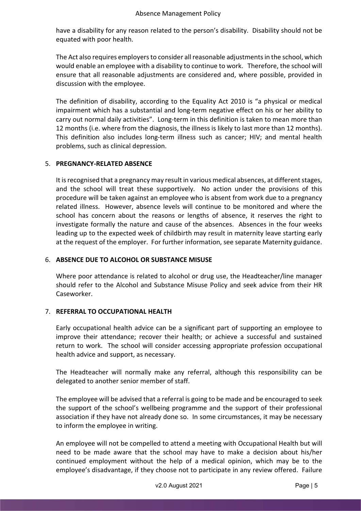have a disability for any reason related to the person's disability. Disability should not be equated with poor health.

The Act also requires employers to consider all reasonable adjustments in the school, which would enable an employee with a disability to continue to work. Therefore, the school will ensure that all reasonable adjustments are considered and, where possible, provided in discussion with the employee.

The definition of disability, according to the Equality Act 2010 is "a physical or medical impairment which has a substantial and long-term negative effect on his or her ability to carry out normal daily activities". Long-term in this definition is taken to mean more than 12 months (i.e. where from the diagnosis, the illness is likely to last more than 12 months). This definition also includes long-term illness such as cancer; HIV; and mental health problems, such as clinical depression.

# 5. PREGNANCY-RELATED ABSENCE

It is recognised that a pregnancy may result in various medical absences, at different stages, and the school will treat these supportively. No action under the provisions of this procedure will be taken against an employee who is absent from work due to a pregnancy related illness. However, absence levels will continue to be monitored and where the school has concern about the reasons or lengths of absence, it reserves the right to investigate formally the nature and cause of the absences. Absences in the four weeks leading up to the expected week of childbirth may result in maternity leave starting early at the request of the employer. For further information, see separate Maternity guidance.

# 6. ABSENCE DUE TO ALCOHOL OR SUBSTANCE MISUSE

Where poor attendance is related to alcohol or drug use, the Headteacher/line manager should refer to the Alcohol and Substance Misuse Policy and seek advice from their HR Caseworker.

## 7. REFERRAL TO OCCUPATIONAL HEALTH

Early occupational health advice can be a significant part of supporting an employee to improve their attendance; recover their health; or achieve a successful and sustained return to work. The school will consider accessing appropriate profession occupational health advice and support, as necessary.

The Headteacher will normally make any referral, although this responsibility can be delegated to another senior member of staff.

The employee will be advised that a referral is going to be made and be encouraged to seek the support of the school's wellbeing programme and the support of their professional association if they have not already done so. In some circumstances, it may be necessary to inform the employee in writing.

An employee will not be compelled to attend a meeting with Occupational Health but will need to be made aware that the school may have to make a decision about his/her continued employment without the help of a medical opinion, which may be to the employee's disadvantage, if they choose not to participate in any review offered. Failure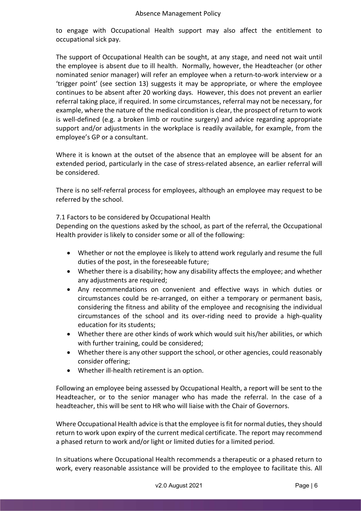to engage with Occupational Health support may also affect the entitlement to occupational sick pay.

The support of Occupational Health can be sought, at any stage, and need not wait until the employee is absent due to ill health. Normally, however, the Headteacher (or other nominated senior manager) will refer an employee when a return-to-work interview or a 'trigger point' (see section 13) suggests it may be appropriate, or where the employee continues to be absent after 20 working days. However, this does not prevent an earlier referral taking place, if required. In some circumstances, referral may not be necessary, for example, where the nature of the medical condition is clear, the prospect of return to work is well-defined (e.g. a broken limb or routine surgery) and advice regarding appropriate support and/or adjustments in the workplace is readily available, for example, from the employee's GP or a consultant.

Where it is known at the outset of the absence that an employee will be absent for an extended period, particularly in the case of stress-related absence, an earlier referral will be considered.

There is no self-referral process for employees, although an employee may request to be referred by the school.

7.1 Factors to be considered by Occupational Health

Depending on the questions asked by the school, as part of the referral, the Occupational Health provider is likely to consider some or all of the following:

- Whether or not the employee is likely to attend work regularly and resume the full duties of the post, in the foreseeable future;
- Whether there is a disability; how any disability affects the employee; and whether any adjustments are required;
- Any recommendations on convenient and effective ways in which duties or circumstances could be re-arranged, on either a temporary or permanent basis, considering the fitness and ability of the employee and recognising the individual circumstances of the school and its over-riding need to provide a high-quality education for its students;
- Whether there are other kinds of work which would suit his/her abilities, or which with further training, could be considered;
- Whether there is any other support the school, or other agencies, could reasonably consider offering;
- Whether ill-health retirement is an option.

Following an employee being assessed by Occupational Health, a report will be sent to the Headteacher, or to the senior manager who has made the referral. In the case of a headteacher, this will be sent to HR who will liaise with the Chair of Governors.

Where Occupational Health advice is that the employee is fit for normal duties, they should return to work upon expiry of the current medical certificate. The report may recommend a phased return to work and/or light or limited duties for a limited period.

In situations where Occupational Health recommends a therapeutic or a phased return to work, every reasonable assistance will be provided to the employee to facilitate this. All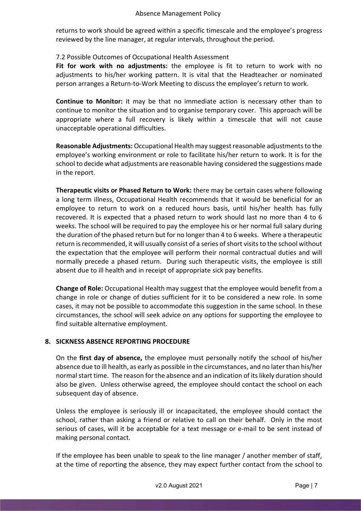returns to work should be agreed within a specific timescale and the employee's progress reviewed by the line manager, at regular intervals, throughout the period.

## 7.2 Possible Outcomes of Occupational Health Assessment

Fit for work with no adjustments: the employee is fit to return to work with no adjustments to his/her working pattern. It is vital that the Headteacher or nominated person arranges a Return-to-Work Meeting to discuss the employee's return to work.

Continue to Monitor: it may be that no immediate action is necessary other than to continue to monitor the situation and to organise temporary cover. This approach will be appropriate where a full recovery is likely within a timescale that will not cause unacceptable operational difficulties.

Reasonable Adjustments: Occupational Health may suggest reasonable adjustments to the employee's working environment or role to facilitate his/her return to work. It is for the school to decide what adjustments are reasonable having considered the suggestions made in the report.

Therapeutic visits or Phased Return to Work: there may be certain cases where following a long term illness, Occupational Health recommends that it would be beneficial for an employee to return to work on a reduced hours basis, until his/her health has fully recovered. It is expected that a phased return to work should last no more than 4 to 6 weeks. The school will be required to pay the employee his or her normal full salary during the duration of the phased return but for no longer than 4 to 6 weeks. Where a therapeutic return is recommended, it will usually consist of a series of short visits to the school without the expectation that the employee will perform their normal contractual duties and will normally precede a phased return. During such therapeutic visits, the employee is still absent due to ill health and in receipt of appropriate sick pay benefits.

Change of Role: Occupational Health may suggest that the employee would benefit from a change in role or change of duties sufficient for it to be considered a new role. In some cases, it may not be possible to accommodate this suggestion in the same school. In these circumstances, the school will seek advice on any options for supporting the employee to find suitable alternative employment.

## 8. SICKNESS ABSENCE REPORTING PROCEDURE

On the first day of absence, the employee must personally notify the school of his/her absence due to ill health, as early as possible in the circumstances, and no later than his/her normal start time. The reason for the absence and an indication of its likely duration should also be given. Unless otherwise agreed, the employee should contact the school on each subsequent day of absence.

Unless the employee is seriously ill or incapacitated, the employee should contact the school, rather than asking a friend or relative to call on their behalf. Only in the most serious of cases, will it be acceptable for a text message or e-mail to be sent instead of making personal contact.

If the employee has been unable to speak to the line manager / another member of staff, at the time of reporting the absence, they may expect further contact from the school to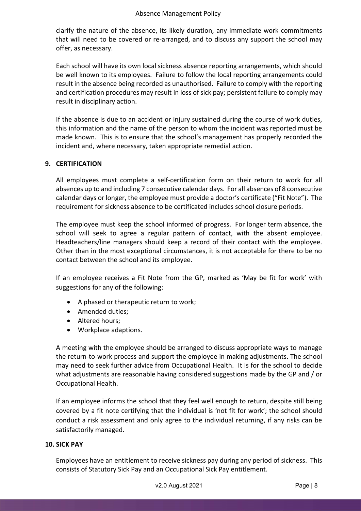#### Absence Management Policy

clarify the nature of the absence, its likely duration, any immediate work commitments that will need to be covered or re-arranged, and to discuss any support the school may offer, as necessary.

Each school will have its own local sickness absence reporting arrangements, which should be well known to its employees. Failure to follow the local reporting arrangements could result in the absence being recorded as unauthorised. Failure to comply with the reporting and certification procedures may result in loss of sick pay; persistent failure to comply may result in disciplinary action.

If the absence is due to an accident or injury sustained during the course of work duties, this information and the name of the person to whom the incident was reported must be made known. This is to ensure that the school's management has properly recorded the incident and, where necessary, taken appropriate remedial action.

## 9. CERTIFICATION

All employees must complete a self-certification form on their return to work for all absences up to and including 7 consecutive calendar days. For all absences of 8 consecutive calendar days or longer, the employee must provide a doctor's certificate ("Fit Note"). The requirement for sickness absence to be certificated includes school closure periods.

The employee must keep the school informed of progress. For longer term absence, the school will seek to agree a regular pattern of contact, with the absent employee. Headteachers/line managers should keep a record of their contact with the employee. Other than in the most exceptional circumstances, it is not acceptable for there to be no contact between the school and its employee.

If an employee receives a Fit Note from the GP, marked as 'May be fit for work' with suggestions for any of the following:

- A phased or therapeutic return to work;
- Amended duties:
- Altered hours;
- Workplace adaptions.

A meeting with the employee should be arranged to discuss appropriate ways to manage the return-to-work process and support the employee in making adjustments. The school may need to seek further advice from Occupational Health. It is for the school to decide what adjustments are reasonable having considered suggestions made by the GP and / or Occupational Health.

If an employee informs the school that they feel well enough to return, despite still being covered by a fit note certifying that the individual is 'not fit for work'; the school should conduct a risk assessment and only agree to the individual returning, if any risks can be satisfactorily managed.

#### 10. SICK PAY

Employees have an entitlement to receive sickness pay during any period of sickness. This consists of Statutory Sick Pay and an Occupational Sick Pay entitlement.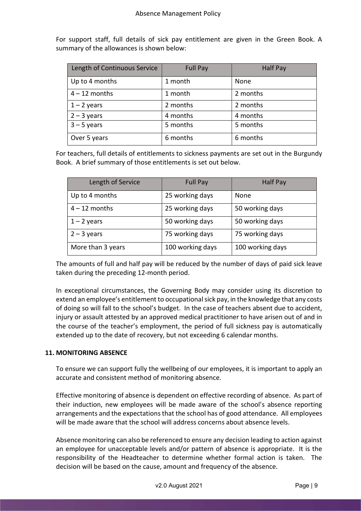For support staff, full details of sick pay entitlement are given in the Green Book. A summary of the allowances is shown below:

| Length of Continuous Service | <b>Full Pay</b> | <b>Half Pay</b> |
|------------------------------|-----------------|-----------------|
| Up to 4 months               | 1 month         | None            |
| $4 - 12$ months              | 1 month         | 2 months        |
| $1 - 2$ years                | 2 months        | 2 months        |
| $2 - 3$ years                | 4 months        | 4 months        |
| $3 - 5$ years                | 5 months        | 5 months        |
| Over 5 years                 | 6 months        | 6 months        |

For teachers, full details of entitlements to sickness payments are set out in the Burgundy Book. A brief summary of those entitlements is set out below.

| Length of Service | <b>Full Pay</b>  | <b>Half Pay</b>  |
|-------------------|------------------|------------------|
| Up to 4 months    | 25 working days  | None             |
| $4 - 12$ months   | 25 working days  | 50 working days  |
| $1 - 2$ years     | 50 working days  | 50 working days  |
| $2 - 3$ years     | 75 working days  | 75 working days  |
| More than 3 years | 100 working days | 100 working days |

The amounts of full and half pay will be reduced by the number of days of paid sick leave taken during the preceding 12-month period.

In exceptional circumstances, the Governing Body may consider using its discretion to extend an employee's entitlement to occupational sick pay, in the knowledge that any costs of doing so will fall to the school's budget. In the case of teachers absent due to accident, injury or assault attested by an approved medical practitioner to have arisen out of and in the course of the teacher's employment, the period of full sickness pay is automatically extended up to the date of recovery, but not exceeding 6 calendar months.

## 11. MONITORING ABSENCE

To ensure we can support fully the wellbeing of our employees, it is important to apply an accurate and consistent method of monitoring absence.

Effective monitoring of absence is dependent on effective recording of absence. As part of their induction, new employees will be made aware of the school's absence reporting arrangements and the expectations that the school has of good attendance. All employees will be made aware that the school will address concerns about absence levels.

Absence monitoring can also be referenced to ensure any decision leading to action against an employee for unacceptable levels and/or pattern of absence is appropriate. It is the responsibility of the Headteacher to determine whether formal action is taken. The decision will be based on the cause, amount and frequency of the absence.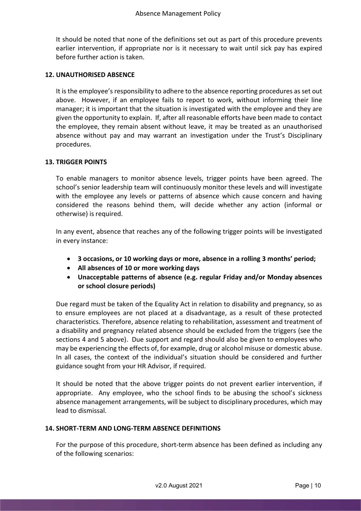It should be noted that none of the definitions set out as part of this procedure prevents earlier intervention, if appropriate nor is it necessary to wait until sick pay has expired before further action is taken.

#### 12. UNAUTHORISED ABSENCE

It is the employee's responsibility to adhere to the absence reporting procedures as set out above. However, if an employee fails to report to work, without informing their line manager; it is important that the situation is investigated with the employee and they are given the opportunity to explain. If, after all reasonable efforts have been made to contact the employee, they remain absent without leave, it may be treated as an unauthorised absence without pay and may warrant an investigation under the Trust's Disciplinary procedures.

#### 13. TRIGGER POINTS

To enable managers to monitor absence levels, trigger points have been agreed. The school's senior leadership team will continuously monitor these levels and will investigate with the employee any levels or patterns of absence which cause concern and having considered the reasons behind them, will decide whether any action (informal or otherwise) is required.

In any event, absence that reaches any of the following trigger points will be investigated in every instance:

- 3 occasions, or 10 working days or more, absence in a rolling 3 months' period;
- All absences of 10 or more working days
- Unacceptable patterns of absence (e.g. regular Friday and/or Monday absences or school closure periods)

Due regard must be taken of the Equality Act in relation to disability and pregnancy, so as to ensure employees are not placed at a disadvantage, as a result of these protected characteristics. Therefore, absence relating to rehabilitation, assessment and treatment of a disability and pregnancy related absence should be excluded from the triggers (see the sections 4 and 5 above). Due support and regard should also be given to employees who may be experiencing the effects of, for example, drug or alcohol misuse or domestic abuse. In all cases, the context of the individual's situation should be considered and further guidance sought from your HR Advisor, if required.

It should be noted that the above trigger points do not prevent earlier intervention, if appropriate. Any employee, who the school finds to be abusing the school's sickness absence management arrangements, will be subject to disciplinary procedures, which may lead to dismissal.

#### 14. SHORT-TERM AND LONG-TERM ABSENCE DEFINITIONS

For the purpose of this procedure, short-term absence has been defined as including any of the following scenarios: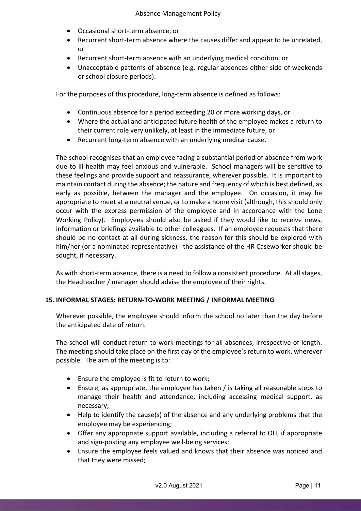- Occasional short-term absence, or
- Recurrent short-term absence where the causes differ and appear to be unrelated, or
- Recurrent short-term absence with an underlying medical condition, or
- Unacceptable patterns of absence (e.g. regular absences either side of weekends or school closure periods).

For the purposes of this procedure, long-term absence is defined as follows:

- Continuous absence for a period exceeding 20 or more working days, or
- Where the actual and anticipated future health of the employee makes a return to their current role very unlikely, at least in the immediate future, or
- Recurrent long-term absence with an underlying medical cause.

The school recognises that an employee facing a substantial period of absence from work due to ill health may feel anxious and vulnerable. School managers will be sensitive to these feelings and provide support and reassurance, wherever possible. It is important to maintain contact during the absence; the nature and frequency of which is best defined, as early as possible, between the manager and the employee. On occasion, it may be appropriate to meet at a neutral venue, or to make a home visit (although, this should only occur with the express permission of the employee and in accordance with the Lone Working Policy). Employees should also be asked if they would like to receive news, information or briefings available to other colleagues. If an employee requests that there should be no contact at all during sickness, the reason for this should be explored with him/her (or a nominated representative) - the assistance of the HR Caseworker should be sought, if necessary.

As with short-term absence, there is a need to follow a consistent procedure. At all stages, the Headteacher / manager should advise the employee of their rights.

## 15. INFORMAL STAGES: RETURN-TO-WORK MEETING / INFORMAL MEETING

Wherever possible, the employee should inform the school no later than the day before the anticipated date of return.

The school will conduct return-to-work meetings for all absences, irrespective of length. The meeting should take place on the first day of the employee's return to work, wherever possible. The aim of the meeting is to:

- Ensure the employee is fit to return to work;
- Ensure, as appropriate, the employee has taken / is taking all reasonable steps to manage their health and attendance, including accessing medical support, as necessary;
- Help to identify the cause(s) of the absence and any underlying problems that the employee may be experiencing;
- Offer any appropriate support available, including a referral to OH, if appropriate and sign-posting any employee well-being services;
- Ensure the employee feels valued and knows that their absence was noticed and that they were missed;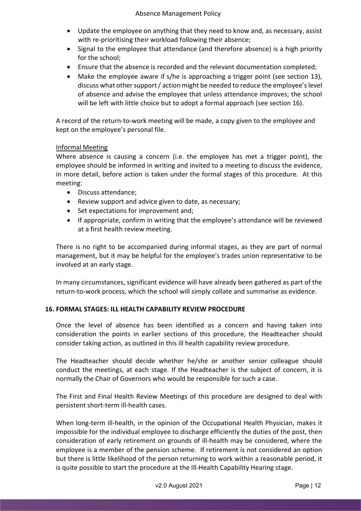- Update the employee on anything that they need to know and, as necessary, assist with re-prioritising their workload following their absence;
- Signal to the employee that attendance (and therefore absence) is a high priority for the school;
- Ensure that the absence is recorded and the relevant documentation completed;
- Make the employee aware if s/he is approaching a trigger point (see section 13), discuss what other support / action might be needed to reduce the employee's level of absence and advise the employee that unless attendance improves; the school will be left with little choice but to adopt a formal approach (see section 16).

A record of the return-to-work meeting will be made, a copy given to the employee and kept on the employee's personal file.

## Informal Meeting

Where absence is causing a concern (i.e. the employee has met a trigger point), the employee should be informed in writing and invited to a meeting to discuss the evidence, in more detail, before action is taken under the formal stages of this procedure. At this meeting:

- Discuss attendance:
- Review support and advice given to date, as necessary;
- Set expectations for improvement and;
- If appropriate, confirm in writing that the employee's attendance will be reviewed at a first health review meeting.

There is no right to be accompanied during informal stages, as they are part of normal management, but it may be helpful for the employee's trades union representative to be involved at an early stage.

In many circumstances, significant evidence will have already been gathered as part of the return-to-work process, which the school will simply collate and summarise as evidence.

## 16. FORMAL STAGES: ILL HEALTH CAPABILITY REVIEW PROCEDURE

Once the level of absence has been identified as a concern and having taken into consideration the points in earlier sections of this procedure, the Headteacher should consider taking action, as outlined in this ill health capability review procedure.

The Headteacher should decide whether he/she or another senior colleague should conduct the meetings, at each stage. If the Headteacher is the subject of concern, it is normally the Chair of Governors who would be responsible for such a case.

The First and Final Health Review Meetings of this procedure are designed to deal with persistent short-term ill-health cases.

When long-term ill-health, in the opinion of the Occupational Health Physician, makes it impossible for the individual employee to discharge efficiently the duties of the post, then consideration of early retirement on grounds of ill-health may be considered, where the employee is a member of the pension scheme. If retirement is not considered an option but there is little likelihood of the person returning to work within a reasonable period, it is quite possible to start the procedure at the Ill-Health Capability Hearing stage.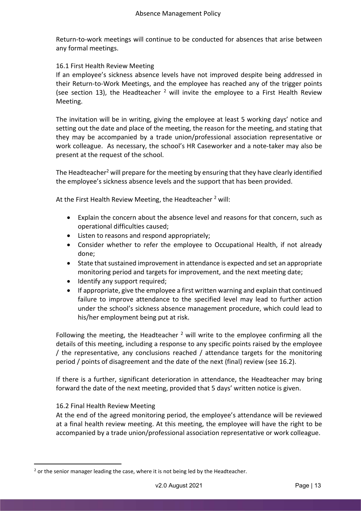Return-to-work meetings will continue to be conducted for absences that arise between any formal meetings.

## 16.1 First Health Review Meeting

If an employee's sickness absence levels have not improved despite being addressed in their Return-to-Work Meetings, and the employee has reached any of the trigger points (see section 13), the Headteacher  $^2$  will invite the employee to a First Health Review Meeting.

The invitation will be in writing, giving the employee at least 5 working days' notice and setting out the date and place of the meeting, the reason for the meeting, and stating that they may be accompanied by a trade union/professional association representative or work colleague. As necessary, the school's HR Caseworker and a note-taker may also be present at the request of the school.

The Headteacher<sup>2</sup> will prepare for the meeting by ensuring that they have clearly identified the employee's sickness absence levels and the support that has been provided.

At the First Health Review Meeting, the Headteacher <sup>2</sup> will:

- Explain the concern about the absence level and reasons for that concern, such as operational difficulties caused;
- Listen to reasons and respond appropriately;
- Consider whether to refer the employee to Occupational Health, if not already done;
- State that sustained improvement in attendance is expected and set an appropriate monitoring period and targets for improvement, and the next meeting date;
- Identify any support required;
- If appropriate, give the employee a first written warning and explain that continued failure to improve attendance to the specified level may lead to further action under the school's sickness absence management procedure, which could lead to his/her employment being put at risk.

Following the meeting, the Headteacher<sup>2</sup> will write to the employee confirming all the details of this meeting, including a response to any specific points raised by the employee / the representative, any conclusions reached / attendance targets for the monitoring period / points of disagreement and the date of the next (final) review (see 16.2).

If there is a further, significant deterioration in attendance, the Headteacher may bring forward the date of the next meeting, provided that 5 days' written notice is given.

## 16.2 Final Health Review Meeting

At the end of the agreed monitoring period, the employee's attendance will be reviewed at a final health review meeting. At this meeting, the employee will have the right to be accompanied by a trade union/professional association representative or work colleague.

 $2$  or the senior manager leading the case, where it is not being led by the Headteacher.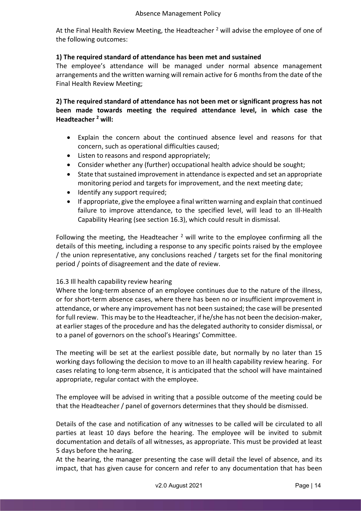At the Final Health Review Meeting, the Headteacher <sup>2</sup> will advise the employee of one of the following outcomes:

# 1) The required standard of attendance has been met and sustained

The employee's attendance will be managed under normal absence management arrangements and the written warning will remain active for 6 months from the date of the Final Health Review Meeting;

2) The required standard of attendance has not been met or significant progress has not been made towards meeting the required attendance level, in which case the Headteacher <sup>2</sup> will:

- Explain the concern about the continued absence level and reasons for that concern, such as operational difficulties caused;
- Listen to reasons and respond appropriately;
- Consider whether any (further) occupational health advice should be sought;
- State that sustained improvement in attendance is expected and set an appropriate monitoring period and targets for improvement, and the next meeting date;
- Identify any support required;
- If appropriate, give the employee a final written warning and explain that continued failure to improve attendance, to the specified level, will lead to an Ill-Health Capability Hearing (see section 16.3), which could result in dismissal.

Following the meeting, the Headteacher  $<sup>2</sup>$  will write to the employee confirming all the</sup> details of this meeting, including a response to any specific points raised by the employee / the union representative, any conclusions reached / targets set for the final monitoring period / points of disagreement and the date of review.

# 16.3 Ill health capability review hearing

Where the long-term absence of an employee continues due to the nature of the illness, or for short-term absence cases, where there has been no or insufficient improvement in attendance, or where any improvement has not been sustained; the case will be presented for full review. This may be to the Headteacher, if he/she has not been the decision-maker, at earlier stages of the procedure and has the delegated authority to consider dismissal, or to a panel of governors on the school's Hearings' Committee.

The meeting will be set at the earliest possible date, but normally by no later than 15 working days following the decision to move to an ill health capability review hearing. For cases relating to long-term absence, it is anticipated that the school will have maintained appropriate, regular contact with the employee.

The employee will be advised in writing that a possible outcome of the meeting could be that the Headteacher / panel of governors determines that they should be dismissed.

Details of the case and notification of any witnesses to be called will be circulated to all parties at least 10 days before the hearing. The employee will be invited to submit documentation and details of all witnesses, as appropriate. This must be provided at least 5 days before the hearing.

At the hearing, the manager presenting the case will detail the level of absence, and its impact, that has given cause for concern and refer to any documentation that has been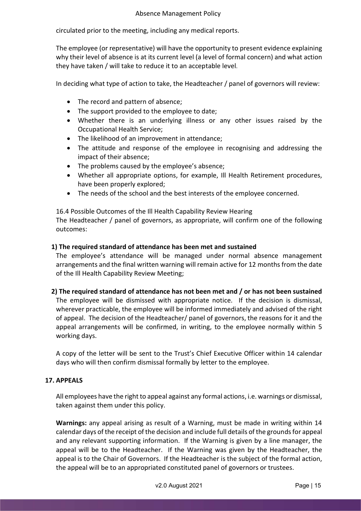circulated prior to the meeting, including any medical reports.

The employee (or representative) will have the opportunity to present evidence explaining why their level of absence is at its current level (a level of formal concern) and what action they have taken / will take to reduce it to an acceptable level.

In deciding what type of action to take, the Headteacher / panel of governors will review:

- The record and pattern of absence;
- The support provided to the employee to date;
- Whether there is an underlying illness or any other issues raised by the Occupational Health Service;
- The likelihood of an improvement in attendance;
- The attitude and response of the employee in recognising and addressing the impact of their absence;
- The problems caused by the employee's absence;
- Whether all appropriate options, for example, Ill Health Retirement procedures, have been properly explored;
- The needs of the school and the best interests of the employee concerned.

16.4 Possible Outcomes of the Ill Health Capability Review Hearing The Headteacher / panel of governors, as appropriate, will confirm one of the following outcomes:

## 1) The required standard of attendance has been met and sustained

The employee's attendance will be managed under normal absence management arrangements and the final written warning will remain active for 12 months from the date of the Ill Health Capability Review Meeting;

## 2) The required standard of attendance has not been met and / or has not been sustained

The employee will be dismissed with appropriate notice. If the decision is dismissal, wherever practicable, the employee will be informed immediately and advised of the right of appeal. The decision of the Headteacher/ panel of governors, the reasons for it and the appeal arrangements will be confirmed, in writing, to the employee normally within 5 working days.

A copy of the letter will be sent to the Trust's Chief Executive Officer within 14 calendar days who will then confirm dismissal formally by letter to the employee.

## 17. APPEALS

All employees have the right to appeal against any formal actions, i.e. warnings or dismissal, taken against them under this policy.

Warnings: any appeal arising as result of a Warning, must be made in writing within 14 calendar days of the receipt of the decision and include full details of the grounds for appeal and any relevant supporting information. If the Warning is given by a line manager, the appeal will be to the Headteacher. If the Warning was given by the Headteacher, the appeal is to the Chair of Governors. If the Headteacher is the subject of the formal action, the appeal will be to an appropriated constituted panel of governors or trustees.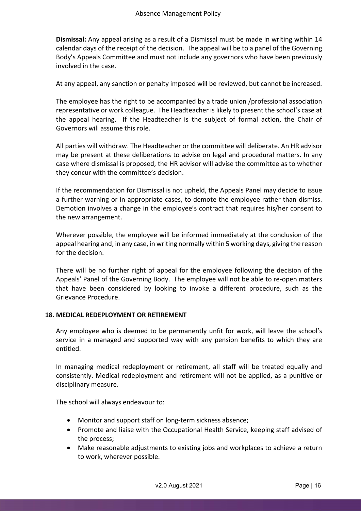Dismissal: Any appeal arising as a result of a Dismissal must be made in writing within 14 calendar days of the receipt of the decision. The appeal will be to a panel of the Governing Body's Appeals Committee and must not include any governors who have been previously involved in the case.

At any appeal, any sanction or penalty imposed will be reviewed, but cannot be increased.

The employee has the right to be accompanied by a trade union /professional association representative or work colleague. The Headteacher is likely to present the school's case at the appeal hearing. If the Headteacher is the subject of formal action, the Chair of Governors will assume this role.

All parties will withdraw. The Headteacher or the committee will deliberate. An HR advisor may be present at these deliberations to advise on legal and procedural matters. In any case where dismissal is proposed, the HR advisor will advise the committee as to whether they concur with the committee's decision.

If the recommendation for Dismissal is not upheld, the Appeals Panel may decide to issue a further warning or in appropriate cases, to demote the employee rather than dismiss. Demotion involves a change in the employee's contract that requires his/her consent to the new arrangement.

Wherever possible, the employee will be informed immediately at the conclusion of the appeal hearing and, in any case, in writing normally within 5 working days, giving the reason for the decision.

There will be no further right of appeal for the employee following the decision of the Appeals' Panel of the Governing Body. The employee will not be able to re-open matters that have been considered by looking to invoke a different procedure, such as the Grievance Procedure.

## 18. MEDICAL REDEPLOYMENT OR RETIREMENT

Any employee who is deemed to be permanently unfit for work, will leave the school's service in a managed and supported way with any pension benefits to which they are entitled.

In managing medical redeployment or retirement, all staff will be treated equally and consistently. Medical redeployment and retirement will not be applied, as a punitive or disciplinary measure.

The school will always endeavour to:

- Monitor and support staff on long-term sickness absence;
- Promote and liaise with the Occupational Health Service, keeping staff advised of the process;
- Make reasonable adjustments to existing jobs and workplaces to achieve a return to work, wherever possible.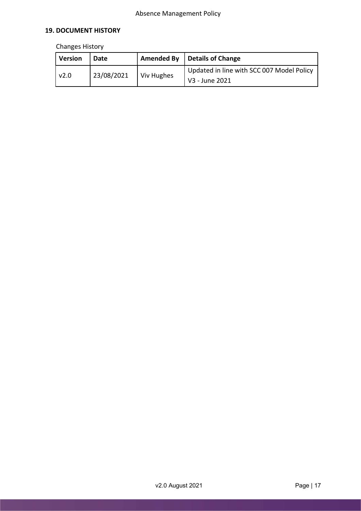# 19. DOCUMENT HISTORY

# Changes History

| <b>Version</b> | Date       |            | Amended By $\vert$ Details of Change                        |
|----------------|------------|------------|-------------------------------------------------------------|
| v2.0           | 23/08/2021 | Viv Hughes | Updated in line with SCC 007 Model Policy<br>V3 - June 2021 |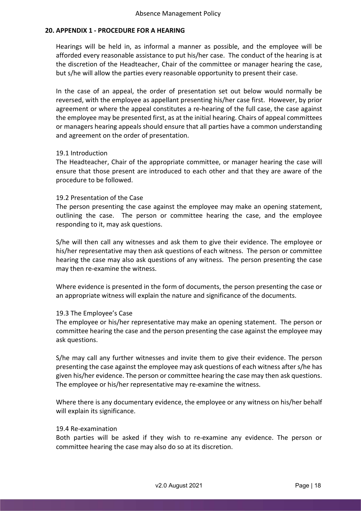#### 20. APPENDIX 1 - PROCEDURE FOR A HEARING

Hearings will be held in, as informal a manner as possible, and the employee will be afforded every reasonable assistance to put his/her case. The conduct of the hearing is at the discretion of the Headteacher, Chair of the committee or manager hearing the case, but s/he will allow the parties every reasonable opportunity to present their case.

In the case of an appeal, the order of presentation set out below would normally be reversed, with the employee as appellant presenting his/her case first. However, by prior agreement or where the appeal constitutes a re-hearing of the full case, the case against the employee may be presented first, as at the initial hearing. Chairs of appeal committees or managers hearing appeals should ensure that all parties have a common understanding and agreement on the order of presentation.

#### 19.1 Introduction

The Headteacher, Chair of the appropriate committee, or manager hearing the case will ensure that those present are introduced to each other and that they are aware of the procedure to be followed.

#### 19.2 Presentation of the Case

The person presenting the case against the employee may make an opening statement, outlining the case. The person or committee hearing the case, and the employee responding to it, may ask questions.

S/he will then call any witnesses and ask them to give their evidence. The employee or his/her representative may then ask questions of each witness. The person or committee hearing the case may also ask questions of any witness. The person presenting the case may then re-examine the witness.

Where evidence is presented in the form of documents, the person presenting the case or an appropriate witness will explain the nature and significance of the documents.

## 19.3 The Employee's Case

The employee or his/her representative may make an opening statement. The person or committee hearing the case and the person presenting the case against the employee may ask questions.

S/he may call any further witnesses and invite them to give their evidence. The person presenting the case against the employee may ask questions of each witness after s/he has given his/her evidence. The person or committee hearing the case may then ask questions. The employee or his/her representative may re-examine the witness.

Where there is any documentary evidence, the employee or any witness on his/her behalf will explain its significance.

#### 19.4 Re-examination

Both parties will be asked if they wish to re-examine any evidence. The person or committee hearing the case may also do so at its discretion.